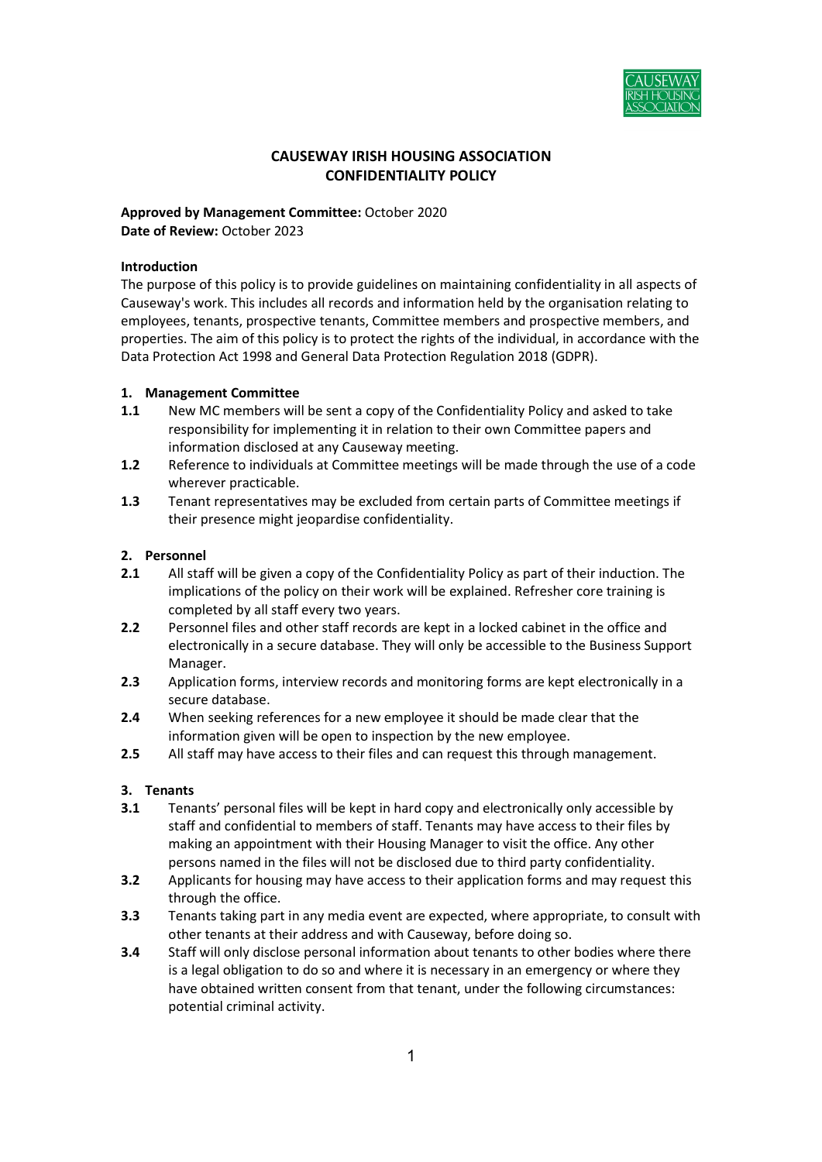

# CAUSEWAY IRISH HOUSING ASSOCIATION CONFIDENTIALITY POLICY

## Approved by Management Committee: October 2020 Date of Review: October 2023

## Introduction

The purpose of this policy is to provide guidelines on maintaining confidentiality in all aspects of Causeway's work. This includes all records and information held by the organisation relating to employees, tenants, prospective tenants, Committee members and prospective members, and properties. The aim of this policy is to protect the rights of the individual, in accordance with the Data Protection Act 1998 and General Data Protection Regulation 2018 (GDPR).

## 1. Management Committee

- 1.1 New MC members will be sent a copy of the Confidentiality Policy and asked to take responsibility for implementing it in relation to their own Committee papers and information disclosed at any Causeway meeting.
- 1.2 Reference to individuals at Committee meetings will be made through the use of a code wherever practicable.
- 1.3 Tenant representatives may be excluded from certain parts of Committee meetings if their presence might jeopardise confidentiality.

## 2. Personnel

- 2.1 All staff will be given a copy of the Confidentiality Policy as part of their induction. The implications of the policy on their work will be explained. Refresher core training is completed by all staff every two years.
- 2.2 Personnel files and other staff records are kept in a locked cabinet in the office and electronically in a secure database. They will only be accessible to the Business Support Manager.
- 2.3 Application forms, interview records and monitoring forms are kept electronically in a secure database.
- 2.4 When seeking references for a new employee it should be made clear that the information given will be open to inspection by the new employee.
- 2.5 All staff may have access to their files and can request this through management.

## 3. Tenants

- 3.1 Tenants' personal files will be kept in hard copy and electronically only accessible by staff and confidential to members of staff. Tenants may have access to their files by making an appointment with their Housing Manager to visit the office. Any other persons named in the files will not be disclosed due to third party confidentiality.
- **3.2** Applicants for housing may have access to their application forms and may request this through the office.
- **3.3** Tenants taking part in any media event are expected, where appropriate, to consult with other tenants at their address and with Causeway, before doing so.
- 3.4 Staff will only disclose personal information about tenants to other bodies where there is a legal obligation to do so and where it is necessary in an emergency or where they have obtained written consent from that tenant, under the following circumstances: potential criminal activity.